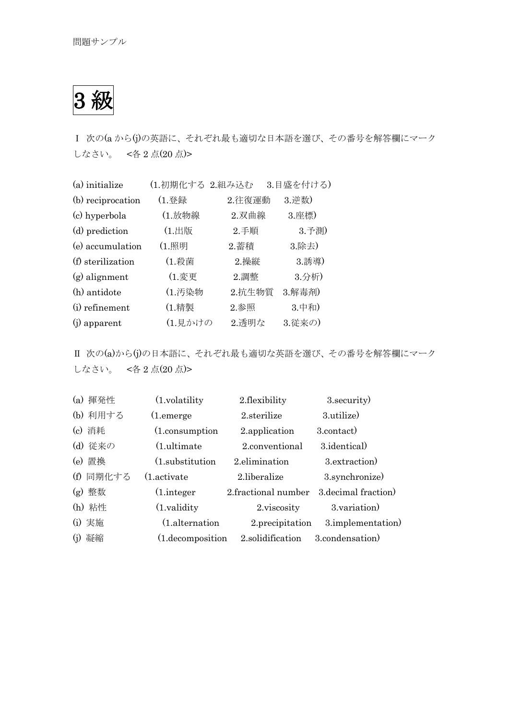3 級

Ⅰ 次の(a から(j)の英語に、それぞれ最も適切な日本語を選び、その番号を解答欄にマーク しなさい。 <各 2 点(20 点)>

| (a) initialize    | (1.初期化する 2.組み込む |        | 3.目盛を付ける) |
|-------------------|-----------------|--------|-----------|
| (b) reciprocation | (1.登録           | 2.往復運動 | 3. 逆数)    |
| (c) hyperbola     | (1.放物線          | 2.双曲線  | 3.座標)     |
| (d) prediction    | (1.出版           | 2.手順   | 3.予測)     |
| (e) accumulation  | (1.照明           | 2.蓄積   | 3.除去)     |
| (f) sterilization | (1.殺菌           | 2.操縦   | 3.誘導)     |
| $(g)$ alignment   | (1.変更           | 2. 調整  | 3.分析)     |
| (h) antidote      | (1.汚染物          | 2.抗生物質 | 3.解毒剤)    |
| (i) refinement    | (1.精製           | 2.参照   | 3.中和)     |
| $(i)$ apparent    | (1.見かけの         | 2.透明な  | 3.従来の)    |

Ⅱ 次の(a)から(j)の日本語に、それぞれ最も適切な英語を選び、その番号を解答欄にマーク しなさい。 <各 2 点(20 点)>

| (a) 揮発性   | $(1$ , volatility     | 2.flexibility       | 3. security)         |
|-----------|-----------------------|---------------------|----------------------|
| (b) 利用する  | $(1.$ emerge          | 2.sterilize         | 3.utilize)           |
| (c) 消耗    | (1.consumption)       | 2.application       | 3.contact)           |
| (d) 従来の   | $(1.$ ultimate        | 2.conventional      | 3.identical)         |
| (e) 置換    | (1.substitution)      | 2.elimination       | 3.extraction)        |
| (f) 同期化する | $(1.\text{active})$   | 2.liberalize        | 3.synchronize)       |
| (g) 整数    | $(1.$ integer         | 2.fractional number | 3. decimal fraction) |
| (h) 粘性    | $(1.\text{validity})$ | 2.viscosity         | 3. variation)        |
| (i) 実施    | (1.alternation)       | 2.precipitation     | 3.implementation     |
| (j) 凝縮    | (1.decomposition)     | 2.solidification    | 3.condensation)      |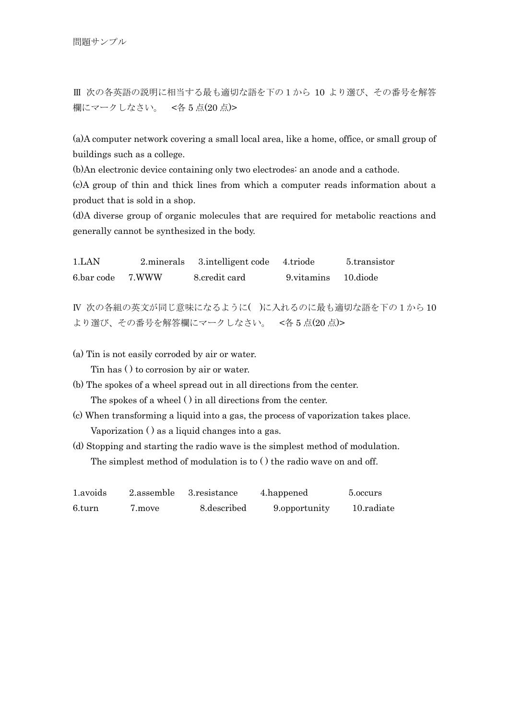Ⅲ 次の各英語の説明に相当する最も適切な語を下の1から 10 より選び、その番号を解答 欄にマークしなさい。 <各 5 点(20 点)>

(a)A computer network covering a small local area, like a home, office, or small group of buildings such as a college.

(b)An electronic device containing only two electrodes: an anode and a cathode.

(c)A group of thin and thick lines from which a computer reads information about a product that is sold in a shop.

(d)A diverse group of organic molecules that are required for metabolic reactions and generally cannot be synthesized in the body.

1.LAN 2.minerals 3.intelligent code 4.triode 5.transistor 6.bar code 7.WWW 8.credit card 9.vitamins 10.diode

Ⅳ 次の各組の英文が同じ意味になるように( )に入れるのに最も適切な語を下の1から 10 より選び、その番号を解答欄にマークしなさい。 <各 5 点(20 点)>

(a) Tin is not easily corroded by air or water. Tin has ( ) to corrosion by air or water.

- (b) The spokes of a wheel spread out in all directions from the center. The spokes of a wheel ( ) in all directions from the center.
- (c) When transforming a liquid into a gas, the process of vaporization takes place. Vaporization ( ) as a liquid changes into a gas.
- (d) Stopping and starting the radio wave is the simplest method of modulation. The simplest method of modulation is to ( ) the radio wave on and off.

| 1.avoids | 2.assemble | 3. resistance | 4.happened    | 5.0ccurs   |
|----------|------------|---------------|---------------|------------|
| 6.turn   | 7.move     | 8. described  | 9.opportunity | 10.radiate |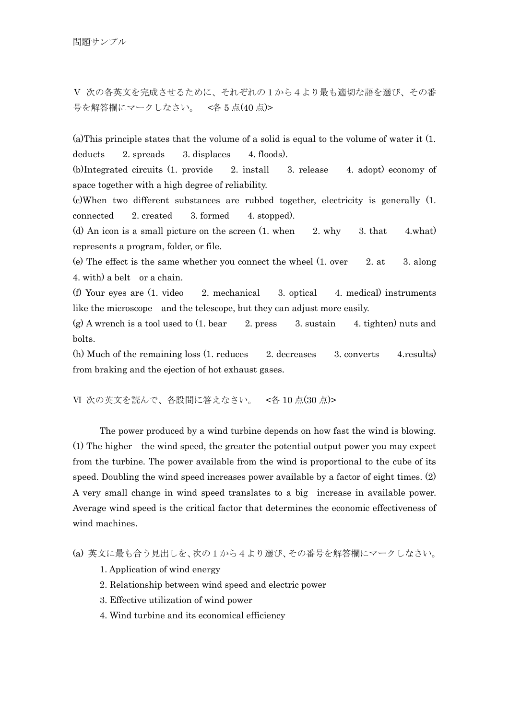Ⅴ 次の各英文を完成させるために、それぞれの1から4より最も適切な語を選び、その番 号を解答欄にマークしなさい。 <各 5 点(40 点)>

(a)This principle states that the volume of a solid is equal to the volume of water it (1. deducts 2. spreads 3. displaces 4. floods).

(b)Integrated circuits (1. provide 2. install 3. release 4. adopt) economy of space together with a high degree of reliability.

(c)When two different substances are rubbed together, electricity is generally (1. connected 2. created 3. formed 4. stopped).

(d) An icon is a small picture on the screen  $(1. \text{ when } 2. \text{ why } 3. \text{ that } 4. \text{what})$ represents a program, folder, or file.

(e) The effect is the same whether you connect the wheel (1. over 2. at 3. along 4. with) a belt or a chain.

(f) Your eyes are  $(1. \text{ video } 2. \text{ mechanical } 3. \text{ optical } 4. \text{ medical})$  instruments like the microscope and the telescope, but they can adjust more easily.

(g) A wrench is a tool used to  $(1. \text{ bear} \qquad 2. \text{ press} \qquad 3. \text{ sustain} \qquad 4. \text{ tighten}$  nuts and bolts.

 $(h)$  Much of the remaining loss  $(1,$  reduces  $2,$  decreases  $3,$  converts  $4$ , results) from braking and the ejection of hot exhaust gases.

Ⅵ 次の英文を読んで、各設問に答えなさい。 <各 10 点(30 点)>

 The power produced by a wind turbine depends on how fast the wind is blowing. (1) The higher the wind speed, the greater the potential output power you may expect from the turbine. The power available from the wind is proportional to the cube of its speed. Doubling the wind speed increases power available by a factor of eight times. (2) A very small change in wind speed translates to a big increase in available power. Average wind speed is the critical factor that determines the economic effectiveness of wind machines.

(a) 英文に最も合う見出しを、次の1から4より選び、その番号を解答欄にマークしなさい。

1. Application of wind energy

2. Relationship between wind speed and electric power

3. Effective utilization of wind power

4. Wind turbine and its economical efficiency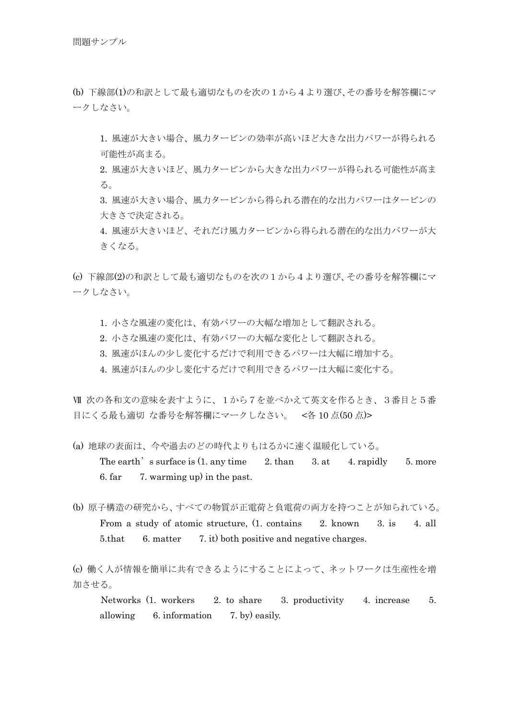(b) 下線部(1)の和訳として最も適切なものを次の1から4より選び、その番号を解答欄にマ ークしなさい。

 1. 風速が大きい場合、風力タービンの効率が高いほど大きな出力パワーが得られる 可能性が高まる。

 2. 風速が大きいほど、風力タービンから大きな出力パワーが得られる可能性が高ま る。

 3. 風速が大きい場合、風力タービンから得られる潜在的な出力パワーはタービンの 大きさで決定される。

 4. 風速が大きいほど、それだけ風力タービンから得られる潜在的な出力パワーが大 きくなる。

(c) 下線部(2)の和訳として最も適切なものを次の1から4より選び、その番号を解答欄にマ ークしなさい。

- 1. 小さな風速の変化は、有効パワーの大幅な増加として翻訳される。
- 2. 小さな風速の変化は、有効パワーの大幅な変化として翻訳される。
- 3. 風速がほんの少し変化するだけで利用できるパワーは大幅に増加する。
- 4. 風速がほんの少し変化するだけで利用できるパワーは大幅に変化する。

Ⅶ 次の各和文の意味を表すように、1から7を並べかえて英文を作るとき、3番目と5番 目にくる最も適切 な番号を解答欄にマークしなさい。 <各 10 点(50 点)>

- (a) 地球の表面は、今や過去のどの時代よりもはるかに速く温暖化している。 The earth's surface is  $(1. \text{ any time } 2. \text{ than } 3. \text{ at } 4. \text{ rapidly } 5. \text{ more }$ 6. far 7. warming up) in the past.
- (b) 原子構造の研究から、すべての物質が正電荷と負電荷の両方を持つことが知られている。 From a study of atomic structure, (1. contains 2. known 3. is 4. all 5.that 6. matter 7. it) both positive and negative charges.

(c) 働く人が情報を簡単に共有できるようにすることによって、ネットワークは生産性を増 加させる。

 Networks (1. workers 2. to share 3. productivity 4. increase 5. allowing 6. information 7. by) easily.